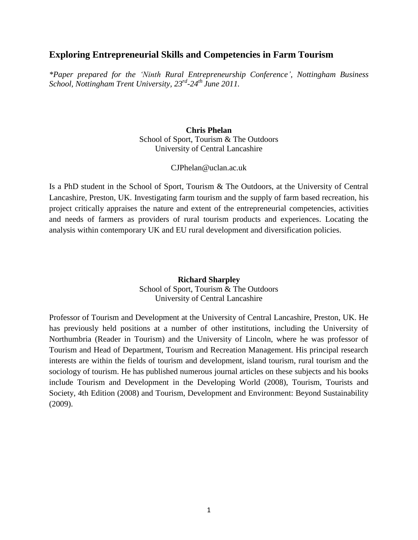# **Exploring Entrepreneurial Skills and Competencies in Farm Tourism**

*\*Paper prepared for the 'Ninth Rural Entrepreneurship Conference', Nottingham Business School, Nottingham Trent University, 23 rd -24th June 2011.*

> **Chris Phelan** School of Sport, Tourism & The Outdoors University of Central Lancashire

> > CJPhelan@uclan.ac.uk

Is a PhD student in the School of Sport, Tourism & The Outdoors, at the University of Central Lancashire, Preston, UK. Investigating farm tourism and the supply of farm based recreation, his project critically appraises the nature and extent of the entrepreneurial competencies, activities and needs of farmers as providers of rural tourism products and experiences. Locating the analysis within contemporary UK and EU rural development and diversification policies.

# **Richard Sharpley**

School of Sport, Tourism & The Outdoors University of Central Lancashire

Professor of Tourism and Development at the University of Central Lancashire, Preston, UK. He has previously held positions at a number of other institutions, including the University of Northumbria (Reader in Tourism) and the University of Lincoln, where he was professor of Tourism and Head of Department, Tourism and Recreation Management. His principal research interests are within the fields of tourism and development, island tourism, rural tourism and the sociology of tourism. He has published numerous journal articles on these subjects and his books include Tourism and Development in the Developing World (2008), Tourism, Tourists and Society, 4th Edition (2008) and Tourism, Development and Environment: Beyond Sustainability (2009).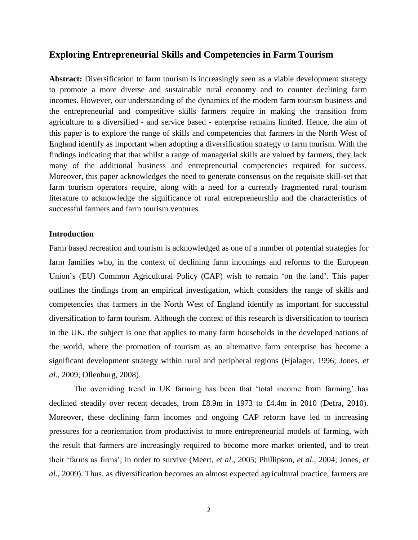# **Exploring Entrepreneurial Skills and Competencies in Farm Tourism**

**Abstract:** Diversification to farm tourism is increasingly seen as a viable development strategy to promote a more diverse and sustainable rural economy and to counter declining farm incomes. However, our understanding of the dynamics of the modern farm tourism business and the entrepreneurial and competitive skills farmers require in making the transition from agriculture to a diversified - and service based - enterprise remains limited. Hence, the aim of this paper is to explore the range of skills and competencies that farmers in the North West of England identify as important when adopting a diversification strategy to farm tourism. With the findings indicating that that whilst a range of managerial skills are valued by farmers, they lack many of the additional business and entrepreneurial competencies required for success. Moreover, this paper acknowledges the need to generate consensus on the requisite skill-set that farm tourism operators require, along with a need for a currently fragmented rural tourism literature to acknowledge the significance of rural entrepreneurship and the characteristics of successful farmers and farm tourism ventures.

# **Introduction**

Farm based recreation and tourism is acknowledged as one of a number of potential strategies for farm families who, in the context of declining farm incomings and reforms to the European Union's (EU) Common Agricultural Policy (CAP) wish to remain 'on the land'. This paper outlines the findings from an empirical investigation, which considers the range of skills and competencies that farmers in the North West of England identify as important for successful diversification to farm tourism. Although the context of this research is diversification to tourism in the UK, the subject is one that applies to many farm households in the developed nations of the world, where the promotion of tourism as an alternative farm enterprise has become a significant development strategy within rural and peripheral regions (Hjalager, 1996; Jones, *et al*., 2009; Ollenburg, 2008).

The overriding trend in UK farming has been that 'total income from farming' has declined steadily over recent decades, from £8.9m in 1973 to £4.4m in 2010 (Defra, 2010). Moreover, these declining farm incomes and ongoing CAP reform have led to increasing pressures for a reorientation from productivist to more entrepreneurial models of farming, with the result that farmers are increasingly required to become more market oriented, and to treat their 'farms as firms', in order to survive (Meert, *et al*., 2005; Phillipson, *et al*., 2004; Jones, *et al*., 2009). Thus, as diversification becomes an almost expected agricultural practice, farmers are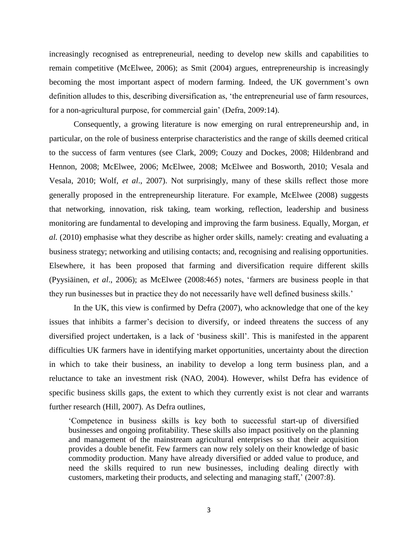increasingly recognised as entrepreneurial, needing to develop new skills and capabilities to remain competitive (McElwee, 2006); as Smit (2004) argues, entrepreneurship is increasingly becoming the most important aspect of modern farming. Indeed, the UK government's own definition alludes to this, describing diversification as, 'the entrepreneurial use of farm resources, for a non-agricultural purpose, for commercial gain' (Defra, 2009:14).

Consequently, a growing literature is now emerging on rural entrepreneurship and, in particular, on the role of business enterprise characteristics and the range of skills deemed critical to the success of farm ventures (see Clark, 2009; Couzy and Dockes, 2008; Hildenbrand and Hennon, 2008; McElwee, 2006; McElwee, 2008; McElwee and Bosworth, 2010; Vesala and Vesala, 2010; Wolf, *et al*., 2007). Not surprisingly, many of these skills reflect those more generally proposed in the entrepreneurship literature. For example, McElwee (2008) suggests that networking, innovation, risk taking, team working, reflection, leadership and business monitoring are fundamental to developing and improving the farm business. Equally, Morgan, *et al.* (2010) emphasise what they describe as higher order skills, namely: creating and evaluating a business strategy; networking and utilising contacts; and, recognising and realising opportunities. Elsewhere, it has been proposed that farming and diversification require different skills (Pyysiäinen, *et al*., 2006); as McElwee (2008:465) notes, 'farmers are business people in that they run businesses but in practice they do not necessarily have well defined business skills.'

In the UK, this view is confirmed by Defra (2007), who acknowledge that one of the key issues that inhibits a farmer's decision to diversify, or indeed threatens the success of any diversified project undertaken, is a lack of 'business skill'. This is manifested in the apparent difficulties UK farmers have in identifying market opportunities, uncertainty about the direction in which to take their business, an inability to develop a long term business plan, and a reluctance to take an investment risk (NAO, 2004). However, whilst Defra has evidence of specific business skills gaps, the extent to which they currently exist is not clear and warrants further research (Hill, 2007). As Defra outlines,

'Competence in business skills is key both to successful start-up of diversified businesses and ongoing profitability. These skills also impact positively on the planning and management of the mainstream agricultural enterprises so that their acquisition provides a double benefit. Few farmers can now rely solely on their knowledge of basic commodity production. Many have already diversified or added value to produce, and need the skills required to run new businesses, including dealing directly with customers, marketing their products, and selecting and managing staff,' (2007:8).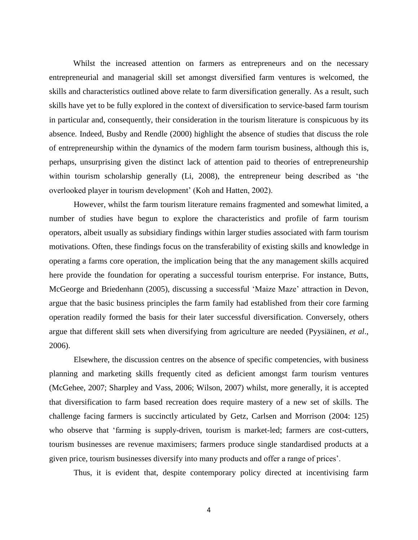Whilst the increased attention on farmers as entrepreneurs and on the necessary entrepreneurial and managerial skill set amongst diversified farm ventures is welcomed, the skills and characteristics outlined above relate to farm diversification generally. As a result, such skills have yet to be fully explored in the context of diversification to service-based farm tourism in particular and, consequently, their consideration in the tourism literature is conspicuous by its absence. Indeed, Busby and Rendle (2000) highlight the absence of studies that discuss the role of entrepreneurship within the dynamics of the modern farm tourism business, although this is, perhaps, unsurprising given the distinct lack of attention paid to theories of entrepreneurship within tourism scholarship generally (Li, 2008), the entrepreneur being described as 'the overlooked player in tourism development' (Koh and Hatten, 2002).

However, whilst the farm tourism literature remains fragmented and somewhat limited, a number of studies have begun to explore the characteristics and profile of farm tourism operators, albeit usually as subsidiary findings within larger studies associated with farm tourism motivations. Often, these findings focus on the transferability of existing skills and knowledge in operating a farms core operation, the implication being that the any management skills acquired here provide the foundation for operating a successful tourism enterprise. For instance, Butts, McGeorge and Briedenhann (2005), discussing a successful 'Maize Maze' attraction in Devon, argue that the basic business principles the farm family had established from their core farming operation readily formed the basis for their later successful diversification. Conversely, others argue that different skill sets when diversifying from agriculture are needed (Pyysiäinen, *et al*., 2006).

Elsewhere, the discussion centres on the absence of specific competencies, with business planning and marketing skills frequently cited as deficient amongst farm tourism ventures (McGehee, 2007; Sharpley and Vass, 2006; Wilson, 2007) whilst, more generally, it is accepted that diversification to farm based recreation does require mastery of a new set of skills. The challenge facing farmers is succinctly articulated by Getz, Carlsen and Morrison (2004: 125) who observe that 'farming is supply-driven, tourism is market-led; farmers are cost-cutters, tourism businesses are revenue maximisers; farmers produce single standardised products at a given price, tourism businesses diversify into many products and offer a range of prices'.

Thus, it is evident that, despite contemporary policy directed at incentivising farm

4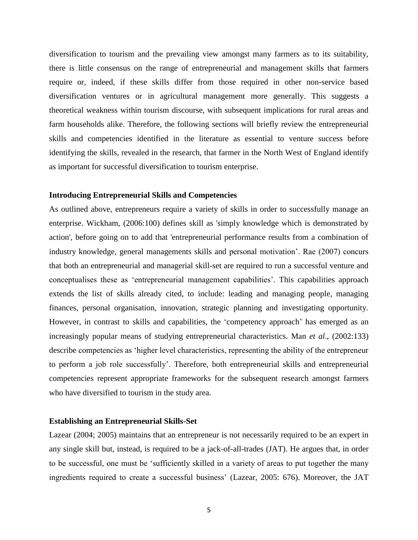diversification to tourism and the prevailing view amongst many farmers as to its suitability, there is little consensus on the range of entrepreneurial and management skills that farmers require or, indeed, if these skills differ from those required in other non-service based diversification ventures or in agricultural management more generally. This suggests a theoretical weakness within tourism discourse, with subsequent implications for rural areas and farm households alike. Therefore, the following sections will briefly review the entrepreneurial skills and competencies identified in the literature as essential to venture success before identifying the skills, revealed in the research, that farmer in the North West of England identify as important for successful diversification to tourism enterprise.

#### **Introducing Entrepreneurial Skills and Competencies**

As outlined above, entrepreneurs require a variety of skills in order to successfully manage an enterprise. Wickham, (2006:100) defines skill as 'simply knowledge which is demonstrated by action', before going on to add that 'entrepreneurial performance results from a combination of industry knowledge, general managements skills and personal motivation'. Rae (2007) concurs that both an entrepreneurial and managerial skill-set are required to run a successful venture and conceptualises these as 'entrepreneurial management capabilities'. This capabilities approach extends the list of skills already cited, to include: leading and managing people, managing finances, personal organisation, innovation, strategic planning and investigating opportunity. However, in contrast to skills and capabilities, the 'competency approach' has emerged as an increasingly popular means of studying entrepreneurial characteristics. Man *et al*., (2002:133) describe competencies as 'higher level characteristics, representing the ability of the entrepreneur to perform a job role successfully'. Therefore, both entrepreneurial skills and entrepreneurial competencies represent appropriate frameworks for the subsequent research amongst farmers who have diversified to tourism in the study area.

#### **Establishing an Entrepreneurial Skills-Set**

Lazear (2004; 2005) maintains that an entrepreneur is not necessarily required to be an expert in any single skill but, instead, is required to be a jack-of-all-trades (JAT). He argues that, in order to be successful, one must be 'sufficiently skilled in a variety of areas to put together the many ingredients required to create a successful business' (Lazear, 2005: 676). Moreover, the JAT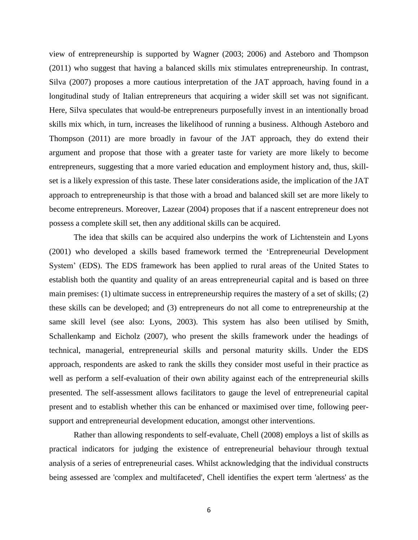view of entrepreneurship is supported by Wagner (2003; 2006) and Asteboro and Thompson (2011) who suggest that having a balanced skills mix stimulates entrepreneurship. In contrast, Silva (2007) proposes a more cautious interpretation of the JAT approach, having found in a longitudinal study of Italian entrepreneurs that acquiring a wider skill set was not significant. Here, Silva speculates that would-be entrepreneurs purposefully invest in an intentionally broad skills mix which, in turn, increases the likelihood of running a business. Although Asteboro and Thompson (2011) are more broadly in favour of the JAT approach, they do extend their argument and propose that those with a greater taste for variety are more likely to become entrepreneurs, suggesting that a more varied education and employment history and, thus, skillset is a likely expression of this taste. These later considerations aside, the implication of the JAT approach to entrepreneurship is that those with a broad and balanced skill set are more likely to become entrepreneurs. Moreover, Lazear (2004) proposes that if a nascent entrepreneur does not possess a complete skill set, then any additional skills can be acquired.

The idea that skills can be acquired also underpins the work of Lichtenstein and Lyons (2001) who developed a skills based framework termed the 'Entrepreneurial Development System' (EDS). The EDS framework has been applied to rural areas of the United States to establish both the quantity and quality of an areas entrepreneurial capital and is based on three main premises: (1) ultimate success in entrepreneurship requires the mastery of a set of skills; (2) these skills can be developed; and (3) entrepreneurs do not all come to entrepreneurship at the same skill level (see also: Lyons, 2003). This system has also been utilised by Smith, Schallenkamp and Eicholz (2007), who present the skills framework under the headings of technical, managerial, entrepreneurial skills and personal maturity skills. Under the EDS approach, respondents are asked to rank the skills they consider most useful in their practice as well as perform a self-evaluation of their own ability against each of the entrepreneurial skills presented. The self-assessment allows facilitators to gauge the level of entrepreneurial capital present and to establish whether this can be enhanced or maximised over time, following peersupport and entrepreneurial development education, amongst other interventions.

Rather than allowing respondents to self-evaluate, Chell (2008) employs a list of skills as practical indicators for judging the existence of entrepreneurial behaviour through textual analysis of a series of entrepreneurial cases. Whilst acknowledging that the individual constructs being assessed are 'complex and multifaceted', Chell identifies the expert term 'alertness' as the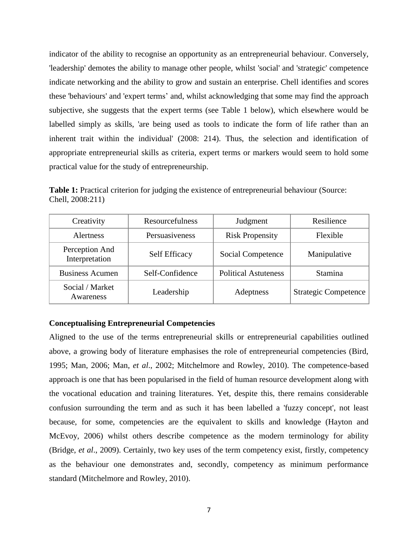indicator of the ability to recognise an opportunity as an entrepreneurial behaviour. Conversely, 'leadership' demotes the ability to manage other people, whilst 'social' and 'strategic' competence indicate networking and the ability to grow and sustain an enterprise. Chell identifies and scores these 'behaviours' and 'expert terms' and, whilst acknowledging that some may find the approach subjective, she suggests that the expert terms (see Table 1 below), which elsewhere would be labelled simply as skills, 'are being used as tools to indicate the form of life rather than an inherent trait within the individual' (2008: 214). Thus, the selection and identification of appropriate entrepreneurial skills as criteria, expert terms or markers would seem to hold some practical value for the study of entrepreneurship.

**Table 1:** Practical criterion for judging the existence of entrepreneurial behaviour (Source: Chell, 2008:211)

| Creativity                       | Resourcefulness | Judgment                    | Resilience                  |
|----------------------------------|-----------------|-----------------------------|-----------------------------|
| Alertness                        | Persuasiveness  | <b>Risk Propensity</b>      | Flexible                    |
| Perception And<br>Interpretation | Self Efficacy   | Social Competence           | Manipulative                |
| <b>Business Acumen</b>           | Self-Confidence | <b>Political Astuteness</b> | <b>Stamina</b>              |
| Social / Market<br>Awareness     | Leadership      | Adeptness                   | <b>Strategic Competence</b> |

# **Conceptualising Entrepreneurial Competencies**

Aligned to the use of the terms entrepreneurial skills or entrepreneurial capabilities outlined above, a growing body of literature emphasises the role of entrepreneurial competencies (Bird, 1995; Man, 2006; Man, *et al*., 2002; Mitchelmore and Rowley, 2010). The competence-based approach is one that has been popularised in the field of human resource development along with the vocational education and training literatures. Yet, despite this, there remains considerable confusion surrounding the term and as such it has been labelled a 'fuzzy concept', not least because, for some, competencies are the equivalent to skills and knowledge (Hayton and McEvoy, 2006) whilst others describe competence as the modern terminology for ability (Bridge, *et al*., 2009). Certainly, two key uses of the term competency exist, firstly, competency as the behaviour one demonstrates and, secondly, competency as minimum performance standard (Mitchelmore and Rowley, 2010).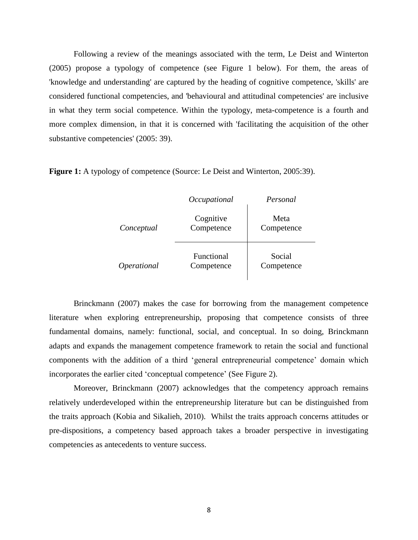Following a review of the meanings associated with the term, Le Deist and Winterton (2005) propose a typology of competence (see Figure 1 below). For them, the areas of 'knowledge and understanding' are captured by the heading of cognitive competence, 'skills' are considered functional competencies, and 'behavioural and attitudinal competencies' are inclusive in what they term social competence. Within the typology, meta-competence is a fourth and more complex dimension, in that it is concerned with 'facilitating the acquisition of the other substantive competencies' (2005: 39).

**Figure 1:** A typology of competence (Source: Le Deist and Winterton, 2005:39).

|             | Occupational             | Personal             |
|-------------|--------------------------|----------------------|
| Conceptual  | Cognitive<br>Competence  | Meta<br>Competence   |
| Operational | Functional<br>Competence | Social<br>Competence |

Brinckmann (2007) makes the case for borrowing from the management competence literature when exploring entrepreneurship, proposing that competence consists of three fundamental domains, namely: functional, social, and conceptual. In so doing, Brinckmann adapts and expands the management competence framework to retain the social and functional components with the addition of a third 'general entrepreneurial competence' domain which incorporates the earlier cited 'conceptual competence' (See Figure 2).

Moreover, Brinckmann (2007) acknowledges that the competency approach remains relatively underdeveloped within the entrepreneurship literature but can be distinguished from the traits approach (Kobia and Sikalieh, 2010). Whilst the traits approach concerns attitudes or pre-dispositions, a competency based approach takes a broader perspective in investigating competencies as antecedents to venture success.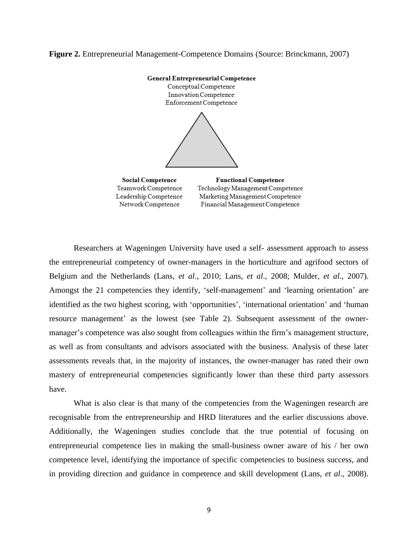**Figure 2.** Entrepreneurial Management-Competence Domains (Source: Brinckmann, 2007)



Researchers at Wageningen University have used a self- assessment approach to assess the entrepreneurial competency of owner-managers in the horticulture and agrifood sectors of Belgium and the Netherlands (Lans, *et al*., 2010; Lans, *et al*., 2008; Mulder, *et al*., 2007). Amongst the 21 competencies they identify, 'self-management' and 'learning orientation' are identified as the two highest scoring, with 'opportunities', 'international orientation' and 'human resource management' as the lowest (see Table 2). Subsequent assessment of the ownermanager's competence was also sought from colleagues within the firm's management structure, as well as from consultants and advisors associated with the business. Analysis of these later assessments reveals that, in the majority of instances, the owner-manager has rated their own mastery of entrepreneurial competencies significantly lower than these third party assessors have.

What is also clear is that many of the competencies from the Wageningen research are recognisable from the entrepreneurship and HRD literatures and the earlier discussions above. Additionally, the Wageningen studies conclude that the true potential of focusing on entrepreneurial competence lies in making the small-business owner aware of his / her own competence level, identifying the importance of specific competencies to business success, and in providing direction and guidance in competence and skill development (Lans, *et al*., 2008).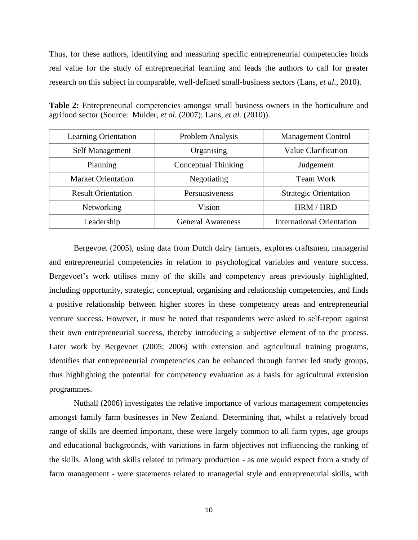Thus, for these authors, identifying and measuring specific entrepreneurial competencies holds real value for the study of entrepreneurial learning and leads the authors to call for greater research on this subject in comparable, well-defined small-business sectors (Lans, *et al*., 2010).

| <b>Learning Orientation</b> | Problem Analysis         | <b>Management Control</b>        |
|-----------------------------|--------------------------|----------------------------------|
| Self Management             | Organising               | Value Clarification              |
| Planning                    | Conceptual Thinking      | Judgement                        |
| <b>Market Orientation</b>   | Negotiating              | <b>Team Work</b>                 |
| <b>Result Orientation</b>   | Persuasiveness           | <b>Strategic Orientation</b>     |
| Networking                  | Vision                   | HRM / HRD                        |
| Leadership                  | <b>General Awareness</b> | <b>International Orientation</b> |

**Table 2:** Entrepreneurial competencies amongst small business owners in the horticulture and agrifood sector (Source: Mulder, *et al.* (2007); Lans, *et al.* (2010)).

Bergevoet (2005), using data from Dutch dairy farmers, explores craftsmen, managerial and entrepreneurial competencies in relation to psychological variables and venture success. Bergevoet's work utilises many of the skills and competency areas previously highlighted, including opportunity, strategic, conceptual, organising and relationship competencies, and finds a positive relationship between higher scores in these competency areas and entrepreneurial venture success. However, it must be noted that respondents were asked to self-report against their own entrepreneurial success, thereby introducing a subjective element of to the process. Later work by Bergevoet (2005; 2006) with extension and agricultural training programs, identifies that entrepreneurial competencies can be enhanced through farmer led study groups, thus highlighting the potential for competency evaluation as a basis for agricultural extension programmes.

Nuthall (2006) investigates the relative importance of various management competencies amongst family farm businesses in New Zealand. Determining that, whilst a relatively broad range of skills are deemed important, these were largely common to all farm types, age groups and educational backgrounds, with variations in farm objectives not influencing the ranking of the skills. Along with skills related to primary production - as one would expect from a study of farm management - were statements related to managerial style and entrepreneurial skills, with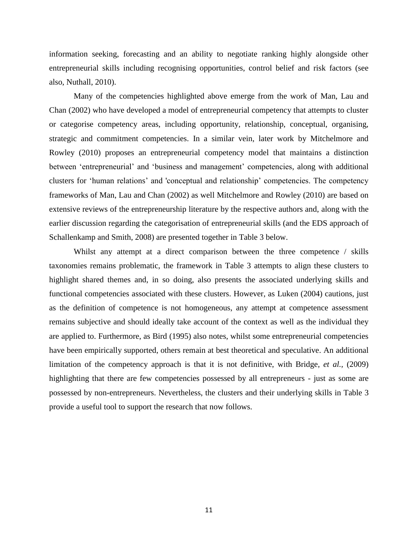information seeking, forecasting and an ability to negotiate ranking highly alongside other entrepreneurial skills including recognising opportunities, control belief and risk factors (see also, Nuthall, 2010).

Many of the competencies highlighted above emerge from the work of Man, Lau and Chan (2002) who have developed a model of entrepreneurial competency that attempts to cluster or categorise competency areas, including opportunity, relationship, conceptual, organising, strategic and commitment competencies. In a similar vein, later work by Mitchelmore and Rowley (2010) proposes an entrepreneurial competency model that maintains a distinction between 'entrepreneurial' and 'business and management' competencies, along with additional clusters for 'human relations' and 'conceptual and relationship' competencies. The competency frameworks of Man, Lau and Chan (2002) as well Mitchelmore and Rowley (2010) are based on extensive reviews of the entrepreneurship literature by the respective authors and, along with the earlier discussion regarding the categorisation of entrepreneurial skills (and the EDS approach of Schallenkamp and Smith, 2008) are presented together in Table 3 below.

Whilst any attempt at a direct comparison between the three competence / skills taxonomies remains problematic, the framework in Table 3 attempts to align these clusters to highlight shared themes and, in so doing, also presents the associated underlying skills and functional competencies associated with these clusters. However, as Luken (2004) cautions, just as the definition of competence is not homogeneous, any attempt at competence assessment remains subjective and should ideally take account of the context as well as the individual they are applied to. Furthermore, as Bird (1995) also notes, whilst some entrepreneurial competencies have been empirically supported, others remain at best theoretical and speculative. An additional limitation of the competency approach is that it is not definitive, with Bridge, *et al.,* (2009) highlighting that there are few competencies possessed by all entrepreneurs - just as some are possessed by non-entrepreneurs. Nevertheless, the clusters and their underlying skills in Table 3 provide a useful tool to support the research that now follows.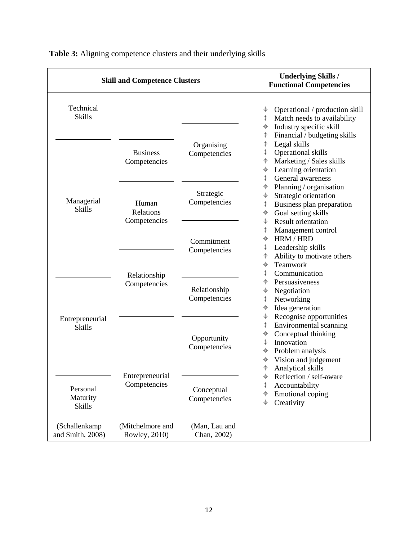| <b>Skill and Competence Clusters</b>                                                                     |                                    |                              | <b>Underlying Skills /</b><br><b>Functional Competencies</b>                                                                                                                                                                                                                                                     |  |  |
|----------------------------------------------------------------------------------------------------------|------------------------------------|------------------------------|------------------------------------------------------------------------------------------------------------------------------------------------------------------------------------------------------------------------------------------------------------------------------------------------------------------|--|--|
| Technical<br><b>Skills</b>                                                                               |                                    |                              | Operational / production skill<br>⊕<br>Match needs to availability<br>$\color{red} \bigoplus$<br>Industry specific skill<br>$\color{red} \bigoplus$<br>Financial / budgeting skills<br>$\color{red} \bigoplus$                                                                                                   |  |  |
| Managerial<br><b>Skills</b><br>Entrepreneurial<br><b>Skills</b><br>Personal<br>Maturity<br><b>Skills</b> | <b>Business</b><br>Competencies    | Organising<br>Competencies   | Legal skills<br>♦<br>Operational skills<br>♦<br>Marketing / Sales skills<br>$\color{red} \color{black} \blacklozenge$<br>Learning orientation<br>$\color{black}\boldsymbol{\downarrow}$<br>General awareness<br>⊕                                                                                                |  |  |
|                                                                                                          | Human<br>Relations<br>Competencies | Strategic<br>Competencies    | Planning / organisation<br>⊕<br>Strategic orientation<br>♦<br>Business plan preparation<br>$\color{red} \bigoplus$<br>Goal setting skills<br>$\color{red} \bigoplus$<br><b>Result orientation</b><br>$\color{red} \bigoplus$                                                                                     |  |  |
|                                                                                                          |                                    | Commitment<br>Competencies   | $\color{red} \color{black} \blacklozenge$<br>Management control<br>$\color{black}\blacklozenge$<br>HRM / HRD<br>Leadership skills<br>$\color{black}\blacklozenge$<br>Ability to motivate others<br>$\color{red} \bigoplus$<br>Teamwork<br>$\color{black}\blacklozenge$                                           |  |  |
|                                                                                                          | Relationship<br>Competencies       | Relationship<br>Competencies | Communication<br>⊕<br>Persuasiveness<br>⊕<br>Negotiation<br>♦<br>Networking<br>$\color{black}\blacklozenge$<br>Idea generation<br>$\color{red} \bigoplus$<br>Recognise opportunities<br>♦                                                                                                                        |  |  |
|                                                                                                          | Entrepreneurial<br>Competencies    | Opportunity<br>Competencies  | Environmental scanning<br>$\color{black}\boldsymbol{\downarrow}$<br>Conceptual thinking<br>$\color{black}\boldsymbol{\downarrow}$<br>Innovation<br>⊕<br>Problem analysis<br>$\color{black}\blacklozenge$<br>$\color{red} \bigoplus$<br>Vision and judgement<br>$\color{black}\blacklozenge$<br>Analytical skills |  |  |
|                                                                                                          |                                    | Conceptual<br>Competencies   | Reflection / self-aware<br>$\color{red} \color{black} \blacklozenge$<br>$\color{black}\blacklozenge$<br>Accountability<br>$\color{red} \bigoplus$<br><b>Emotional</b> coping<br>$\color{red} \bigoplus$<br>Creativity                                                                                            |  |  |
| (Schallenkamp)<br>and Smith, 2008)                                                                       | (Mitchelmore and<br>Rowley, 2010)  | (Man, Lau and<br>Chan, 2002) |                                                                                                                                                                                                                                                                                                                  |  |  |

**Table 3:** Aligning competence clusters and their underlying skills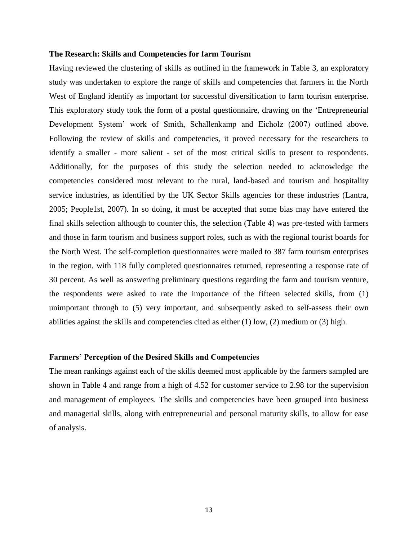#### **The Research: Skills and Competencies for farm Tourism**

Having reviewed the clustering of skills as outlined in the framework in Table 3, an exploratory study was undertaken to explore the range of skills and competencies that farmers in the North West of England identify as important for successful diversification to farm tourism enterprise. This exploratory study took the form of a postal questionnaire, drawing on the 'Entrepreneurial Development System' work of Smith, Schallenkamp and Eicholz (2007) outlined above. Following the review of skills and competencies, it proved necessary for the researchers to identify a smaller - more salient - set of the most critical skills to present to respondents. Additionally, for the purposes of this study the selection needed to acknowledge the competencies considered most relevant to the rural, land-based and tourism and hospitality service industries, as identified by the UK Sector Skills agencies for these industries (Lantra, 2005; People1st, 2007). In so doing, it must be accepted that some bias may have entered the final skills selection although to counter this, the selection (Table 4) was pre-tested with farmers and those in farm tourism and business support roles, such as with the regional tourist boards for the North West. The self-completion questionnaires were mailed to 387 farm tourism enterprises in the region, with 118 fully completed questionnaires returned, representing a response rate of 30 percent. As well as answering preliminary questions regarding the farm and tourism venture, the respondents were asked to rate the importance of the fifteen selected skills, from (1) unimportant through to (5) very important, and subsequently asked to self-assess their own abilities against the skills and competencies cited as either (1) low, (2) medium or (3) high.

# **Farmers' Perception of the Desired Skills and Competencies**

The mean rankings against each of the skills deemed most applicable by the farmers sampled are shown in Table 4 and range from a high of 4.52 for customer service to 2.98 for the supervision and management of employees. The skills and competencies have been grouped into business and managerial skills, along with entrepreneurial and personal maturity skills, to allow for ease of analysis.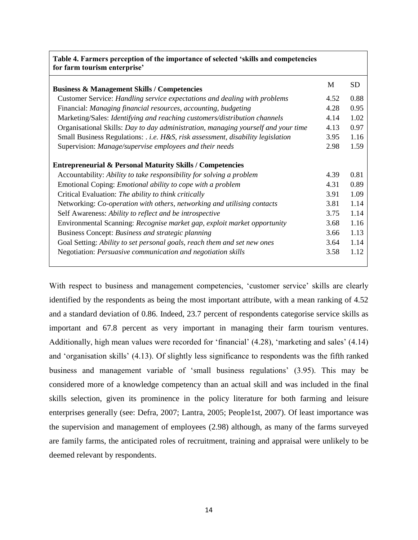| Table 4. Farmers perception of the importance of selected 'skills and competencies<br>for farm tourism enterprise'                                                                                                                                                                                                                                                                                                                                                                                                                               |                                                      |                                                      |
|--------------------------------------------------------------------------------------------------------------------------------------------------------------------------------------------------------------------------------------------------------------------------------------------------------------------------------------------------------------------------------------------------------------------------------------------------------------------------------------------------------------------------------------------------|------------------------------------------------------|------------------------------------------------------|
| <b>Business &amp; Management Skills / Competencies</b>                                                                                                                                                                                                                                                                                                                                                                                                                                                                                           | M                                                    | <b>SD</b>                                            |
| Customer Service: Handling service expectations and dealing with problems                                                                                                                                                                                                                                                                                                                                                                                                                                                                        | 4.52                                                 | 0.88                                                 |
| Financial: Managing financial resources, accounting, budgeting                                                                                                                                                                                                                                                                                                                                                                                                                                                                                   | 4.28                                                 | 0.95                                                 |
| Marketing/Sales: Identifying and reaching customers/distribution channels                                                                                                                                                                                                                                                                                                                                                                                                                                                                        | 4.14                                                 | 1.02                                                 |
| Organisational Skills: Day to day administration, managing yourself and your time                                                                                                                                                                                                                                                                                                                                                                                                                                                                | 4.13                                                 | 0.97                                                 |
| Small Business Regulations: . i.e. H&S, risk assessment, disability legislation                                                                                                                                                                                                                                                                                                                                                                                                                                                                  | 3.95                                                 | 1.16                                                 |
| Supervision: Manage/supervise employees and their needs                                                                                                                                                                                                                                                                                                                                                                                                                                                                                          | 2.98                                                 | 1.59                                                 |
| <b>Entrepreneurial &amp; Personal Maturity Skills / Competencies</b><br>Accountability: Ability to take responsibility for solving a problem<br>Emotional Coping: <i>Emotional ability to cope with a problem</i><br>Critical Evaluation: The ability to think critically<br>Networking: Co-operation with others, networking and utilising contacts<br>Self Awareness: Ability to reflect and be introspective<br>Environmental Scanning: Recognise market gap, exploit market opportunity<br>Business Concept: Business and strategic planning | 4.39<br>4.31<br>3.91<br>3.81<br>3.75<br>3.68<br>3.66 | 0.81<br>0.89<br>1.09<br>1.14<br>1.14<br>1.16<br>1.13 |
| Goal Setting: Ability to set personal goals, reach them and set new ones                                                                                                                                                                                                                                                                                                                                                                                                                                                                         | 3.64                                                 | 1.14                                                 |
| Negotiation: Persuasive communication and negotiation skills                                                                                                                                                                                                                                                                                                                                                                                                                                                                                     | 3.58                                                 | 1.12                                                 |

With respect to business and management competencies, 'customer service' skills are clearly identified by the respondents as being the most important attribute, with a mean ranking of 4.52 and a standard deviation of 0.86. Indeed, 23.7 percent of respondents categorise service skills as important and 67.8 percent as very important in managing their farm tourism ventures. Additionally, high mean values were recorded for 'financial' (4.28), 'marketing and sales' (4.14) and 'organisation skills' (4.13). Of slightly less significance to respondents was the fifth ranked business and management variable of 'small business regulations' (3.95). This may be considered more of a knowledge competency than an actual skill and was included in the final skills selection, given its prominence in the policy literature for both farming and leisure enterprises generally (see: Defra, 2007; Lantra, 2005; People1st, 2007). Of least importance was the supervision and management of employees (2.98) although, as many of the farms surveyed are family farms, the anticipated roles of recruitment, training and appraisal were unlikely to be deemed relevant by respondents.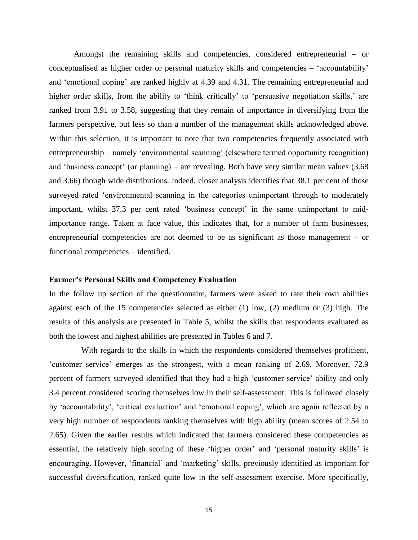Amongst the remaining skills and competencies, considered entrepreneurial – or conceptualised as higher order or personal maturity skills and competencies – 'accountability' and 'emotional coping' are ranked highly at 4.39 and 4.31. The remaining entrepreneurial and higher order skills, from the ability to 'think critically' to 'persuasive negotiation skills,' are ranked from 3.91 to 3.58, suggesting that they remain of importance in diversifying from the farmers perspective, but less so than a number of the management skills acknowledged above. Within this selection, it is important to note that two competencies frequently associated with entrepreneurship – namely 'environmental scanning' (elsewhere termed opportunity recognition) and 'business concept' (or planning) – are revealing. Both have very similar mean values (3.68 and 3.66) though wide distributions. Indeed, closer analysis identifies that 38.1 per cent of those surveyed rated 'environmental scanning in the categories unimportant through to moderately important, whilst 37.3 per cent rated 'business concept' in the same unimportant to midimportance range. Taken at face value, this indicates that, for a number of farm businesses, entrepreneurial competencies are not deemed to be as significant as those management – or functional competencies – identified.

#### **Farmer's Personal Skills and Competency Evaluation**

In the follow up section of the questionnaire, farmers were asked to rate their own abilities against each of the 15 competencies selected as either (1) low, (2) medium or (3) high. The results of this analysis are presented in Table 5, whilst the skills that respondents evaluated as both the lowest and highest abilities are presented in Tables 6 and 7.

With regards to the skills in which the respondents considered themselves proficient, 'customer service' emerges as the strongest, with a mean ranking of 2.69. Moreover, 72.9 percent of farmers surveyed identified that they had a high 'customer service' ability and only 3.4 percent considered scoring themselves low in their self-assessment. This is followed closely by 'accountability', 'critical evaluation' and 'emotional coping', which are again reflected by a very high number of respondents ranking themselves with high ability (mean scores of 2.54 to 2.65). Given the earlier results which indicated that farmers considered these competencies as essential, the relatively high scoring of these 'higher order' and 'personal maturity skills' is encouraging. However, 'financial' and 'marketing' skills, previously identified as important for successful diversification, ranked quite low in the self-assessment exercise. More specifically,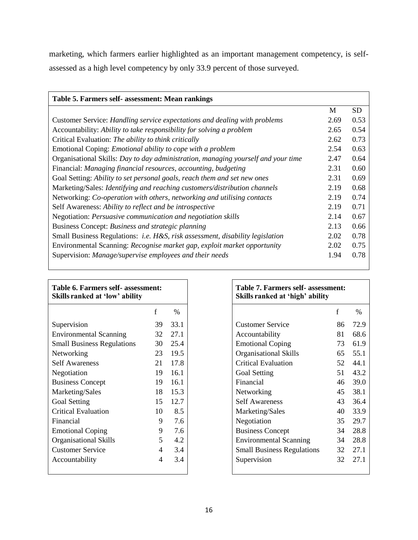marketing, which farmers earlier highlighted as an important management competency, is selfassessed as a high level competency by only 33.9 percent of those surveyed.

| Table 5. Farmers self- assessment: Mean rankings                                         |      |      |
|------------------------------------------------------------------------------------------|------|------|
|                                                                                          | M    | SD   |
| Customer Service: Handling service expectations and dealing with problems                | 2.69 | 0.53 |
| Accountability: Ability to take responsibility for solving a problem                     | 2.65 | 0.54 |
| Critical Evaluation: The ability to think critically                                     | 2.62 | 0.73 |
| Emotional Coping: <i>Emotional ability to cope with a problem</i>                        | 2.54 | 0.63 |
| Organisational Skills: Day to day administration, managing yourself and your time        | 2.47 | 0.64 |
| Financial: Managing financial resources, accounting, budgeting                           | 2.31 | 0.60 |
| Goal Setting: Ability to set personal goals, reach them and set new ones                 | 2.31 | 0.69 |
| Marketing/Sales: Identifying and reaching customers/distribution channels                | 2.19 | 0.68 |
| Networking: Co-operation with others, networking and utilising contacts                  | 2.19 | 0.74 |
| Self Awareness: Ability to reflect and be introspective                                  | 2.19 | 0.71 |
| Negotiation: Persuasive communication and negotiation skills                             | 2.14 | 0.67 |
| Business Concept: Business and strategic planning                                        | 2.13 | 0.66 |
| Small Business Regulations: <i>i.e. H&amp;S, risk assessment, disability legislation</i> | 2.02 | 0.78 |
| Environmental Scanning: Recognise market gap, exploit market opportunity                 | 2.02 | 0.75 |
| Supervision: Manage/supervise employees and their needs                                  | 1.94 | 0.78 |
|                                                                                          |      |      |

| Table 6. Farmers self- assessment:<br>Skills ranked at 'low' ability |                |      |
|----------------------------------------------------------------------|----------------|------|
|                                                                      | f              | $\%$ |
| Supervision                                                          | 39             | 33.1 |
| <b>Environmental Scanning</b>                                        | 32             | 27.1 |
| <b>Small Business Regulations</b>                                    | 30             | 25.4 |
| Networking                                                           | 23             | 19.5 |
| <b>Self Awareness</b>                                                | 21             | 17.8 |
| Negotiation                                                          | 19             | 16.1 |
| <b>Business Concept</b>                                              | 19             | 16.1 |
| Marketing/Sales                                                      | 18             | 15.3 |
| Goal Setting                                                         | 15             | 12.7 |
| <b>Critical Evaluation</b>                                           | 10             | 8.5  |
| Financial                                                            | 9              | 7.6  |
| <b>Emotional Coping</b>                                              | 9              | 7.6  |
| <b>Organisational Skills</b>                                         | 5              | 4.2  |
| <b>Customer Service</b>                                              | 4              | 3.4  |
| Accountability                                                       | $\overline{4}$ | 3.4  |
|                                                                      |                |      |

| nt: |      | Table 7. Farmers self- assessment:<br>Skills ranked at 'high' ability |             |      |
|-----|------|-----------------------------------------------------------------------|-------------|------|
| f   | %    |                                                                       | $\mathbf f$ | $\%$ |
| 39  | 33.1 | <b>Customer Service</b>                                               | 86          | 72.9 |
| 32  | 27.1 | Accountability                                                        | 81          | 68.6 |
| 30  | 25.4 | <b>Emotional Coping</b>                                               | 73          | 61.9 |
| 23  | 19.5 | Organisational Skills                                                 | 65          | 55.1 |
| 21  | 17.8 | <b>Critical Evaluation</b>                                            | 52          | 44.1 |
| 19  | 16.1 | Goal Setting                                                          | 51          | 43.2 |
| 19  | 16.1 | Financial                                                             | 46          | 39.0 |
| 18  | 15.3 | Networking                                                            | 45          | 38.1 |
| 15  | 12.7 | <b>Self Awareness</b>                                                 | 43          | 36.4 |
| 10  | 8.5  | Marketing/Sales                                                       | 40          | 33.9 |
| 9   | 7.6  | Negotiation                                                           | 35          | 29.7 |
| 9   | 7.6  | <b>Business Concept</b>                                               | 34          | 28.8 |
| 5   | 4.2  | <b>Environmental Scanning</b>                                         | 34          | 28.8 |
| 4   | 3.4  | <b>Small Business Regulations</b>                                     | 32          | 27.1 |
| 4   | 3.4  | Supervision                                                           | 32          | 27.1 |
|     |      |                                                                       |             |      |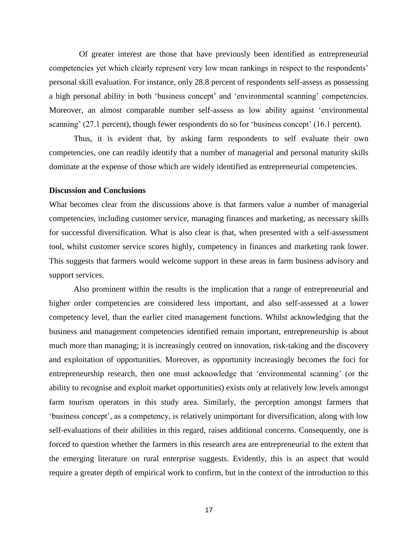Of greater interest are those that have previously been identified as entrepreneurial competencies yet which clearly represent very low mean rankings in respect to the respondents' personal skill evaluation. For instance, only 28.8 percent of respondents self-assess as possessing a high personal ability in both 'business concept' and 'environmental scanning' competencies. Moreover, an almost comparable number self-assess as low ability against 'environmental scanning' (27.1 percent), though fewer respondents do so for 'business concept' (16.1 percent).

Thus, it is evident that, by asking farm respondents to self evaluate their own competencies, one can readily identify that a number of managerial and personal maturity skills dominate at the expense of those which are widely identified as entrepreneurial competencies.

#### **Discussion and Conclusions**

What becomes clear from the discussions above is that farmers value a number of managerial competencies, including customer service, managing finances and marketing, as necessary skills for successful diversification. What is also clear is that, when presented with a self-assessment tool, whilst customer service scores highly, competency in finances and marketing rank lower. This suggests that farmers would welcome support in these areas in farm business advisory and support services.

Also prominent within the results is the implication that a range of entrepreneurial and higher order competencies are considered less important, and also self-assessed at a lower competency level, than the earlier cited management functions. Whilst acknowledging that the business and management competencies identified remain important, entrepreneurship is about much more than managing; it is increasingly centred on innovation, risk-taking and the discovery and exploitation of opportunities. Moreover, as opportunity increasingly becomes the foci for entrepreneurship research, then one must acknowledge that 'environmental scanning' (or the ability to recognise and exploit market opportunities) exists only at relatively low levels amongst farm tourism operators in this study area. Similarly, the perception amongst farmers that 'business concept', as a competency, is relatively unimportant for diversification, along with low self-evaluations of their abilities in this regard, raises additional concerns. Consequently, one is forced to question whether the farmers in this research area are entrepreneurial to the extent that the emerging literature on rural enterprise suggests. Evidently, this is an aspect that would require a greater depth of empirical work to confirm, but in the context of the introduction to this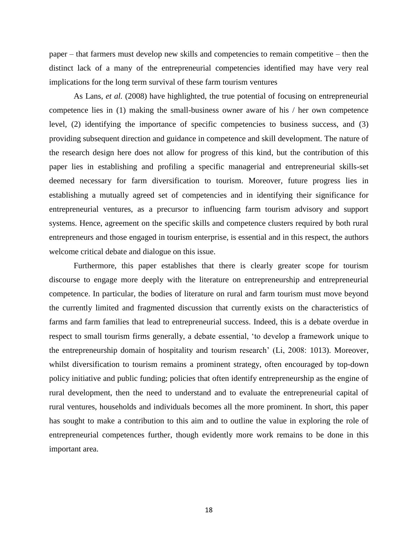paper – that farmers must develop new skills and competencies to remain competitive – then the distinct lack of a many of the entrepreneurial competencies identified may have very real implications for the long term survival of these farm tourism ventures

As Lans, *et al.* (2008) have highlighted, the true potential of focusing on entrepreneurial competence lies in (1) making the small-business owner aware of his / her own competence level, (2) identifying the importance of specific competencies to business success, and (3) providing subsequent direction and guidance in competence and skill development. The nature of the research design here does not allow for progress of this kind, but the contribution of this paper lies in establishing and profiling a specific managerial and entrepreneurial skills-set deemed necessary for farm diversification to tourism. Moreover, future progress lies in establishing a mutually agreed set of competencies and in identifying their significance for entrepreneurial ventures, as a precursor to influencing farm tourism advisory and support systems. Hence, agreement on the specific skills and competence clusters required by both rural entrepreneurs and those engaged in tourism enterprise, is essential and in this respect, the authors welcome critical debate and dialogue on this issue.

Furthermore, this paper establishes that there is clearly greater scope for tourism discourse to engage more deeply with the literature on entrepreneurship and entrepreneurial competence. In particular, the bodies of literature on rural and farm tourism must move beyond the currently limited and fragmented discussion that currently exists on the characteristics of farms and farm families that lead to entrepreneurial success. Indeed, this is a debate overdue in respect to small tourism firms generally, a debate essential, 'to develop a framework unique to the entrepreneurship domain of hospitality and tourism research' (Li, 2008: 1013). Moreover, whilst diversification to tourism remains a prominent strategy, often encouraged by top-down policy initiative and public funding; policies that often identify entrepreneurship as the engine of rural development, then the need to understand and to evaluate the entrepreneurial capital of rural ventures, households and individuals becomes all the more prominent. In short, this paper has sought to make a contribution to this aim and to outline the value in exploring the role of entrepreneurial competences further, though evidently more work remains to be done in this important area.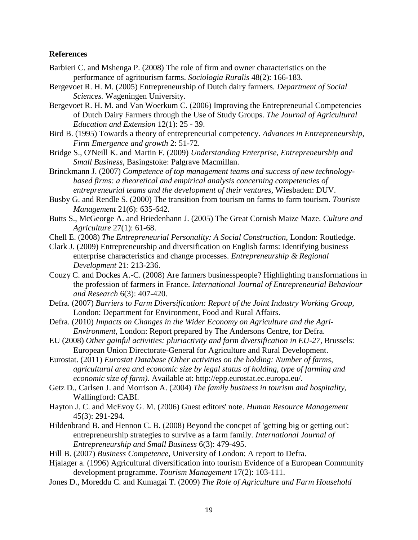# **References**

- Barbieri C. and Mshenga P. (2008) The role of firm and owner characteristics on the performance of agritourism farms. *Sociologia Ruralis* 48(2): 166-183.
- Bergevoet R. H. M. (2005) Entrepreneurship of Dutch dairy farmers. *Department of Social Sciences.* Wageningen University.
- Bergevoet R. H. M. and Van Woerkum C. (2006) Improving the Entrepreneurial Competencies of Dutch Dairy Farmers through the Use of Study Groups. *The Journal of Agricultural Education and Extension* 12(1): 25 - 39.
- Bird B. (1995) Towards a theory of entrepreneurial competency. *Advances in Entrepreneurship, Firm Emergence and growth* 2: 51-72.
- Bridge S., O'Neill K. and Martin F. (2009) *Understanding Enterprise, Entrepreneurship and Small Business,* Basingstoke: Palgrave Macmillan.
- Brinckmann J. (2007) *Competence of top management teams and success of new technologybased firms: a theoretical and empirical analysis concerning competencies of entrepreneurial teams and the development of their ventures,* Wiesbaden: DUV.
- Busby G. and Rendle S. (2000) The transition from tourism on farms to farm tourism. *Tourism Management* 21(6): 635-642.
- Butts S., McGeorge A. and Briedenhann J. (2005) The Great Cornish Maize Maze. *Culture and Agriculture* 27(1): 61-68.
- Chell E. (2008) *The Entrepreneurial Personality: A Social Construction,* London: Routledge.
- Clark J. (2009) Entrepreneurship and diversification on English farms: Identifying business enterprise characteristics and change processes. *Entrepreneurship & Regional Development* 21: 213-236.
- Couzy C. and Dockes A.-C. (2008) Are farmers businesspeople? Highlighting transformations in the profession of farmers in France. *International Journal of Entrepreneurial Behaviour and Research* 6(3): 407-420.
- Defra. (2007) *Barriers to Farm Diversification: Report of the Joint Industry Working Group,*  London: Department for Environment, Food and Rural Affairs.
- Defra. (2010) *Impacts on Changes in the Wider Economy on Agriculture and the Agri-Environment,* London: Report prepared by The Andersons Centre, for Defra.
- EU (2008) *Other gainful activities: pluriactivity and farm diversification in EU-27,* Brussels: European Union Directorate-General for Agriculture and Rural Development.
- Eurostat. (2011) *Eurostat Database (Other activities on the holding: Number of farms, agricultural area and economic size by legal status of holding, type of farming and economic size of farm)*. Available at: http://epp.eurostat.ec.europa.eu/.
- Getz D., Carlsen J. and Morrison A. (2004) *The family business in tourism and hospitality,*  Wallingford: CABI.
- Hayton J. C. and McEvoy G. M. (2006) Guest editors' note. *Human Resource Management* 45(3): 291-294.
- Hildenbrand B. and Hennon C. B. (2008) Beyond the concpet of 'getting big or getting out': entrepreneurship strategies to survive as a farm family. *International Journal of Entrepreneurship and Small Business* 6(3): 479-495.
- Hill B. (2007) *Business Competence,* University of London: A report to Defra.
- Hjalager a. (1996) Agricultural diversification into tourism Evidence of a European Community development programme. *Tourism Management* 17(2): 103-111.
- Jones D., Moreddu C. and Kumagai T. (2009) *The Role of Agriculture and Farm Household*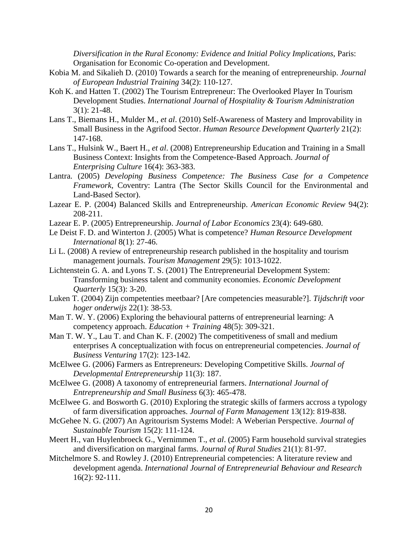*Diversification in the Rural Economy: Evidence and Initial Policy Implications, Paris:* Organisation for Economic Co-operation and Development.

- Kobia M. and Sikalieh D. (2010) Towards a search for the meaning of entrepreneurship. *Journal of European Industrial Training* 34(2): 110-127.
- Koh K. and Hatten T. (2002) The Tourism Entrepreneur: The Overlooked Player In Tourism Development Studies. *International Journal of Hospitality & Tourism Administration* 3(1): 21-48.
- Lans T., Biemans H., Mulder M., *et al*. (2010) Self-Awareness of Mastery and Improvability in Small Business in the Agrifood Sector. *Human Resource Development Quarterly* 21(2): 147-168.
- Lans T., Hulsink W., Baert H., *et al*. (2008) Entrepreneurship Education and Training in a Small Business Context: Insights from the Competence-Based Approach. *Journal of Enterprising Culture* 16(4): 363-383.
- Lantra. (2005) *Developing Business Competence: The Business Case for a Competence Framework,* Coventry: Lantra (The Sector Skills Council for the Environmental and Land-Based Sector).
- Lazear E. P. (2004) Balanced Skills and Entrepreneurship. *American Economic Review* 94(2): 208-211.
- Lazear E. P. (2005) Entrepreneurship. *Journal of Labor Economics* 23(4): 649-680.
- Le Deist F. D. and Winterton J. (2005) What is competence? *Human Resource Development International* 8(1): 27-46.
- Li L. (2008) A review of entrepreneurship research published in the hospitality and tourism management journals. *Tourism Management* 29(5): 1013-1022.
- Lichtenstein G. A. and Lyons T. S. (2001) The Entrepreneurial Development System: Transforming business talent and community economies. *Economic Development Quarterly* 15(3): 3-20.
- Luken T. (2004) Zijn competenties meetbaar? [Are competencies measurable?]. *Tijdschrift voor hoger onderwijs* 22(1): 38-53.
- Man T. W. Y. (2006) Exploring the behavioural patterns of entrepreneurial learning: A competency approach. *Education + Training* 48(5): 309-321.
- Man T. W. Y., Lau T. and Chan K. F. (2002) The competitiveness of small and medium enterprises A conceptualization with focus on entrepreneurial competencies. *Journal of Business Venturing* 17(2): 123-142.
- McElwee G. (2006) Farmers as Entrepreneurs: Developing Competitive Skills. *Journal of Developmental Entrepreneurship* 11(3): 187.
- McElwee G. (2008) A taxonomy of entrepreneurial farmers. *International Journal of Entrepreneurship and Small Business* 6(3): 465-478.
- McElwee G. and Bosworth G. (2010) Exploring the strategic skills of farmers accross a typology of farm diversification approaches. *Journal of Farm Management* 13(12): 819-838.
- McGehee N. G. (2007) An Agritourism Systems Model: A Weberian Perspective. *Journal of Sustainable Tourism* 15(2): 111-124.
- Meert H., van Huylenbroeck G., Vernimmen T., *et al*. (2005) Farm household survival strategies and diversification on marginal farms. *Journal of Rural Studies* 21(1): 81-97.
- Mitchelmore S. and Rowley J. (2010) Entrepreneurial competencies: A literature review and development agenda. *International Journal of Entrepreneurial Behaviour and Research* 16(2): 92-111.